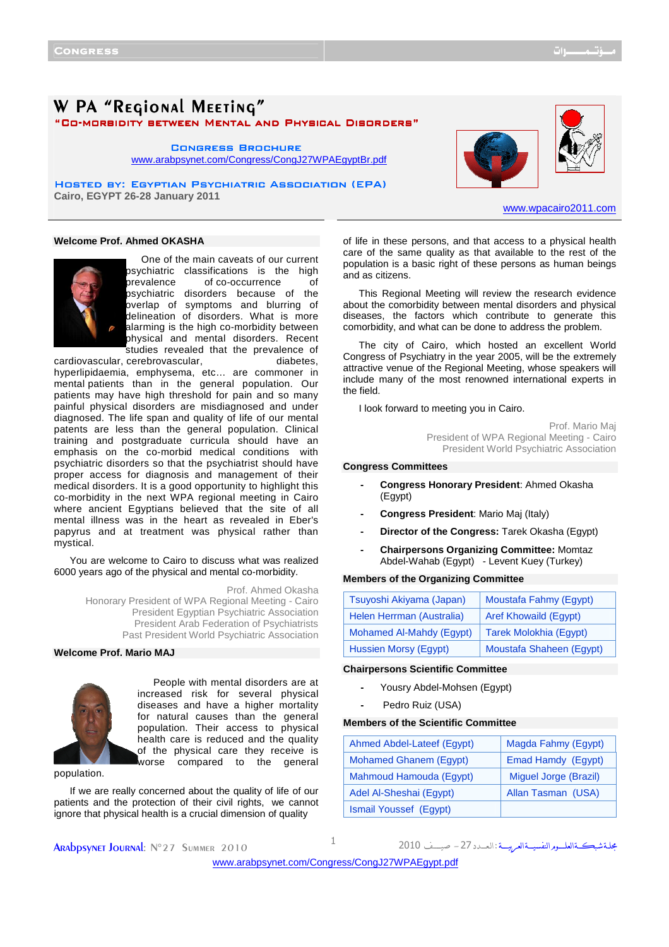# W PA "REGIONAL MEETING"

"Co-morbidity between Mental and Physical Disorders" morbidity between Mental and Physical Disorders"

**CONGRESS BROCHURE** <www.arabpsynet.com/Congress/CongJ27WPAEgyptBr.pdf>

HOSTED BY: EGYPTIAN PSYCHIATRIC ASSOCIATION (EPA) **Cairo, EGYPT 26-28 January 2011** 

## **Welcome Prof. Ahmed OKASHA**



One of the main caveats of our current psychiatric classifications is the high prevalence of co-occurrence of psychiatric disorders because of the overlap of symptoms and blurring of delineation of disorders. What is more alarming is the high co-morbidity between physical and mental disorders. Recent studies revealed that the prevalence of

cardiovascular, cerebrovascular, exercises, diabetes, hyperlipidaemia, emphysema, etc… are commoner in mental patients than in the general population. Our patients may have high threshold for pain and so many painful physical disorders are misdiagnosed and under diagnosed. The life span and quality of life of our mental patents are less than the general population. Clinical training and postgraduate curricula should have an emphasis on the co-morbid medical conditions with psychiatric disorders so that the psychiatrist should have proper access for diagnosis and management of their medical disorders. It is a good opportunity to highlight this co-morbidity in the next WPA regional meeting in Cairo where ancient Egyptians believed that the site of all mental illness was in the heart as revealed in Eber's papyrus and at treatment was physical rather than mystical.

You are welcome to Cairo to discuss what was realized 6000 years ago of the physical and mental co-morbidity.

> Prof. Ahmed Okasha Honorary President of WPA Regional Meeting - Cairo President Egyptian Psychiatric Association President Arab Federation of Psychiatrists Past President World Psychiatric Association

### **Welcome Prof. Mario MAJ**



People with mental disorders are at increased risk for several physical diseases and have a higher mortality for natural causes than the general population. Their access to physical health care is reduced and the quality of the physical care they receive is worse compared to the general

population.

If we are really concerned about the quality of life of our patients and the protection of their civil rights, we cannot ignore that physical health is a crucial dimension of quality

of life in these persons, and that access to a physical health care of the same quality as that available to the rest of the population is a basic right of these persons as human beings and as citizens.

This Regional Meeting will review the research evidence about the comorbidity between mental disorders and physical diseases, the factors which contribute to generate this comorbidity, and what can be done to address the problem.

The city of Cairo, which hosted an excellent World Congress of Psychiatry in the year 2005, will be the extremely attractive venue of the Regional Meeting, whose speakers will include many of the most renowned international experts in the field.

I look forward to meeting you in Cairo.

Prof. Mario Maj President of WPA Regional Meeting - Cairo President World Psychiatric Association

#### **Congress Committees**

- **Congress Honorary President**: Ahmed Okasha (Egypt)
- **Congress President**: Mario Maj (Italy)
- **Director of the Congress:** Tarek Okasha (Egypt)
- **Chairpersons Organizing Committee:** Momtaz Abdel-Wahab (Egypt) - Levent Kuey (Turkey)

#### **Members of the Organizing Committee**

| Tsuyoshi Akiyama (Japan)  | Moustafa Fahmy (Egypt)       |
|---------------------------|------------------------------|
| Helen Herrman (Australia) | <b>Aref Khowaild (Eqypt)</b> |
| Mohamed Al-Mahdy (Egypt)  | Tarek Molokhia (Egypt)       |
| Hussien Morsy (Egypt)     | Moustafa Shaheen (Egypt)     |

## **Chairpersons Scientific Committee**

- Yousry Abdel-Mohsen (Egypt)
- Pedro Ruiz (USA)

#### **Members of the Scientific Committee**

| Ahmed Abdel-Lateef (Egypt) | Magda Fahmy (Egypt)   |
|----------------------------|-----------------------|
| Mohamed Ghanem (Egypt)     | Emad Hamdy (Egypt)    |
| Mahmoud Hamouda (Eqypt)    | Miguel Jorge (Brazil) |
| Adel Al-Sheshai (Egypt)    | Allan Tasman (USA)    |
| Ismail Youssef (Egypt)     |                       |

**ARADPSYNET JOURNAL:** N°27 SUMMER 2010 1

مجلة شبكــةالعلـــوم النفسيــةالعرييـــة : ال

<www.arabpsynet.com/Congress/CongJ27WPAEgypt.pdf>

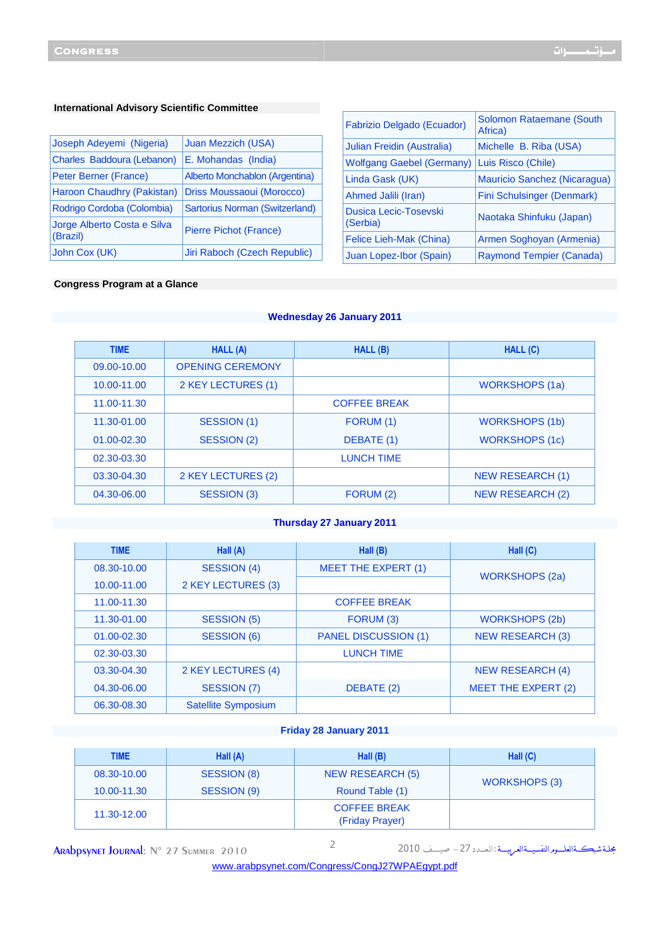| Joseph Adeyemi (Nigeria)                | Juan Mezzich (USA)             |
|-----------------------------------------|--------------------------------|
| Charles Baddoura (Lebanon)              | E. Mohandas (India)            |
| Peter Berner (France)                   | Alberto Monchablon (Argentina) |
| Haroon Chaudhry (Pakistan)              | Driss Moussaoui (Morocco)      |
| Rodrigo Cordoba (Colombia)              | Sartorius Norman (Switzerland) |
| Jorge Alberto Costa e Silva<br>(Brazil) | Pierre Pichot (France)         |
| John Cox (UK)                           | Jiri Raboch (Czech Republic)   |

| Fabrizio Delgado (Ecuador)        | Solomon Rataemane (South<br>Africa) |
|-----------------------------------|-------------------------------------|
| Julian Freidin (Australia)        | Michelle B. Riba (USA)              |
| <b>Wolfgang Gaebel (Germany)</b>  | Luis Risco (Chile)                  |
| Linda Gask (UK)                   | Mauricio Sanchez (Nicaragua)        |
| Ahmed Jalili (Iran)               | Fini Schulsinger (Denmark)          |
| Dusica Lecic-Tosevski<br>(Serbia) | Naotaka Shinfuku (Japan)            |
| Felice Lieh-Mak (China)           | Armen Soghoyan (Armenia)            |
| Juan Lopez-Ibor (Spain)           | Raymond Tempier (Canada)            |

## **Congress Program at a Glance**

## **Wednesday 26 January 2011**

| <b>TIME</b> | HALL (A)                | HALL (B)            | HALL (C)                |
|-------------|-------------------------|---------------------|-------------------------|
| 09.00-10.00 | <b>OPENING CEREMONY</b> |                     |                         |
| 10.00-11.00 | 2 KEY LECTURES (1)      |                     | WORKSHOPS (1a)          |
| 11.00-11.30 |                         | <b>COFFEE BREAK</b> |                         |
| 11.30-01.00 | SESSION (1)             | FORUM (1)           | <b>WORKSHOPS (1b)</b>   |
| 01.00-02.30 | SESSION (2)             | DEBATE (1)          | <b>WORKSHOPS (1c)</b>   |
| 02.30-03.30 |                         | <b>LUNCH TIME</b>   |                         |
| 03.30-04.30 | 2 KEY LECTURES (2)      |                     | <b>NEW RESEARCH (1)</b> |
| 04.30-06.00 | SESSION (3)             | FORUM (2)           | <b>NEW RESEARCH (2)</b> |

## **Thursday 27 January 2011**

| <b>TIME</b> | Hall (A)                   | Hall $(B)$                  | Hall $(C)$              |
|-------------|----------------------------|-----------------------------|-------------------------|
| 08.30-10.00 | <b>SESSION (4)</b>         | <b>MEET THE EXPERT (1)</b>  | <b>WORKSHOPS (2a)</b>   |
| 10.00-11.00 | 2 KEY LECTURES (3)         |                             |                         |
| 11.00-11.30 |                            | <b>COFFEE BREAK</b>         |                         |
| 11.30-01.00 | <b>SESSION (5)</b>         | FORUM (3)                   | <b>WORKSHOPS (2b)</b>   |
| 01.00-02.30 | <b>SESSION (6)</b>         | <b>PANEL DISCUSSION (1)</b> | <b>NEW RESEARCH (3)</b> |
| 02.30-03.30 |                            | <b>LUNCH TIME</b>           |                         |
| 03.30-04.30 | 2 KEY LECTURES (4)         |                             | <b>NEW RESEARCH (4)</b> |
| 04.30-06.00 | SESSION (7)                | DEBATE (2)                  | MEET THE EXPERT (2)     |
| 06.30-08.30 | <b>Satellite Symposium</b> |                             |                         |

## **Friday 28 January 2011**

| <b>TIME</b> | Hall $(A)$  | Hall $(B)$                             | Hall $(C)$           |  |
|-------------|-------------|----------------------------------------|----------------------|--|
| 08.30-10.00 | SESSION (8) | NEW RESEARCH (5)                       |                      |  |
| 10.00-11.30 | SESSION (9) | Round Table (1)                        | <b>WORKSHOPS (3)</b> |  |
| 11.30-12.00 |             | <b>COFFEE BREAK</b><br>(Friday Prayer) |                      |  |

**ARAbpsynet Journal:** N° 27 Summer 2010 2

<www.arabpsynet.com/Congress/CongJ27WPAEgypt.pdf>

مجلة شبكةالعلــوم النفسيــةالعريســة : ال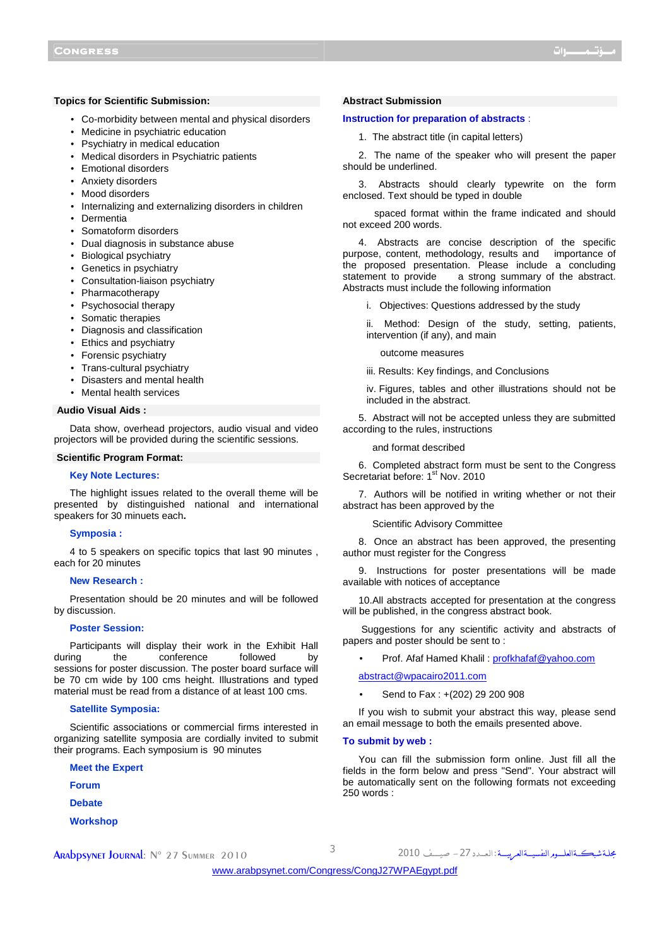### **Topics for Scientific Submission:**

- Co-morbidity between mental and physical disorders
- Medicine in psychiatric education
- Psychiatry in medical education
- Medical disorders in Psychiatric patients
- Emotional disorders
- Anxiety disorders
- Mood disorders
- Internalizing and externalizing disorders in children
- Dermentia
- Somatoform disorders
- Dual diagnosis in substance abuse
- Biological psychiatry
- Genetics in psychiatry
- Consultation-liaison psychiatry
- Pharmacotherapy
- Psychosocial therapy
- Somatic therapies
- Diagnosis and classification
- Ethics and psychiatry
- Forensic psychiatry
- Trans-cultural psychiatry
- Disasters and mental health
- Mental health services

### **Audio Visual Aids :**

Data show, overhead projectors, audio visual and video projectors will be provided during the scientific sessions.

#### **Scientific Program Format:**

#### **Key Note Lectures:**

The highlight issues related to the overall theme will be presented by distinguished national and international speakers for 30 minuets each**.** 

## **Symposia :**

4 to 5 speakers on specific topics that last 90 minutes , each for 20 minutes

#### **New Research :**

Presentation should be 20 minutes and will be followed by discussion.

#### **Poster Session:**

Participants will display their work in the Exhibit Hall<br>ing the conference followed by during the conference followed by sessions for poster discussion. The poster board surface will be 70 cm wide by 100 cms height. Illustrations and typed material must be read from a distance of at least 100 cms.

#### **Satellite Symposia:**

Scientific associations or commercial firms interested in organizing satellite symposia are cordially invited to submit their programs. Each symposium is 90 minutes

- **Meet the Expert**
- **Forum**
- **Debate**

**Abstract Submission**

## **Instruction for preparation of abstracts** :

1. The abstract title (in capital letters)

2. The name of the speaker who will present the paper should be underlined.

3. Abstracts should clearly typewrite on the form enclosed. Text should be typed in double

 spaced format within the frame indicated and should not exceed 200 words.

4. Abstracts are concise description of the specific purpose, content, methodology, results and importance of the proposed presentation. Please include a concluding statement to provide a strong summary of the abstract. Abstracts must include the following information

i. Objectives: Questions addressed by the study

ii. Method: Design of the study, setting, patients, intervention (if any), and main

outcome measures

iii. Results: Key findings, and Conclusions

iv. Figures, tables and other illustrations should not be included in the abstract.

5. Abstract will not be accepted unless they are submitted according to the rules, instructions

and format described

6. Completed abstract form must be sent to the Congress Secretariat before: 1<sup>st</sup> Nov. 2010

7. Authors will be notified in writing whether or not their abstract has been approved by the

Scientific Advisory Committee

8. Once an abstract has been approved, the presenting author must register for the Congress

9. Instructions for poster presentations will be made available with notices of acceptance

10.All abstracts accepted for presentation at the congress will be published, in the congress abstract book.

 Suggestions for any scientific activity and abstracts of papers and poster should be sent to :

Prof. Afaf Hamed Khalil: profkhafaf@yahoo.com

abstract@wpacairo2011.com

• Send to Fax : +(202) 29 200 908

If you wish to submit your abstract this way, please send an email message to both the emails presented above.

#### **To submit by web :**

You can fill the submission form online. Just fill all the fields in the form below and press "Send". Your abstract will be automatically sent on the following formats not exceeding 250 words :

مجلة شبكةالعلــوم النفسيــةالعربيـــة : ال

**Workshop**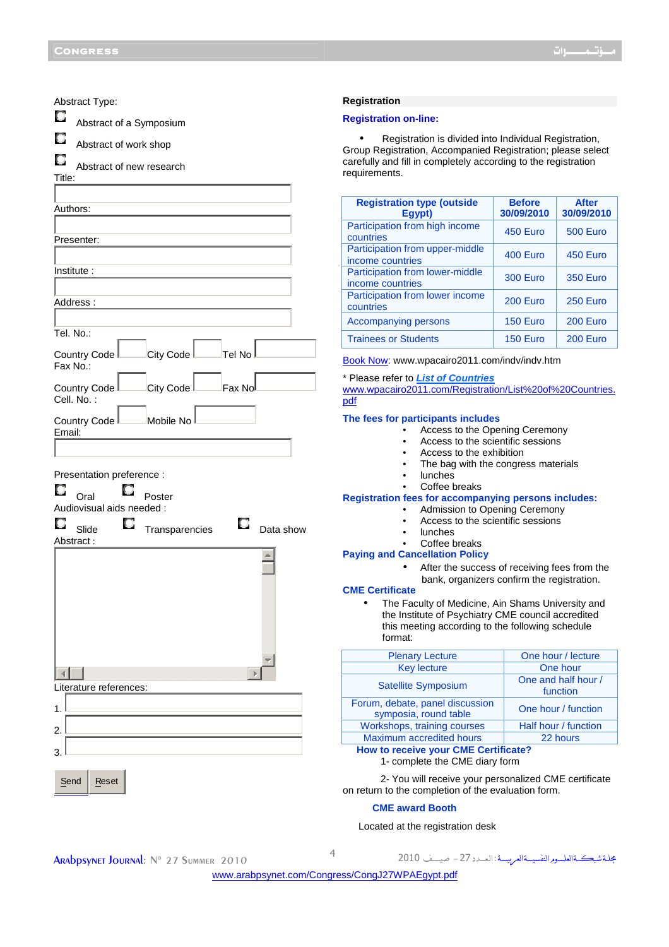| Abstract Type:                                                 | R6                                             |
|----------------------------------------------------------------|------------------------------------------------|
| O<br>Abstract of a Symposium                                   | Re                                             |
| U<br>Abstract of work shop                                     | G۱                                             |
| u<br>Abstract of new research<br>Title:                        | ca<br>re                                       |
|                                                                |                                                |
| Authors:                                                       | P                                              |
| Presenter:                                                     | C<br>P                                         |
| Institute:                                                     | ir<br>P                                        |
|                                                                | ir<br>P                                        |
| Address:                                                       | C                                              |
| Tel. No.:                                                      | A<br>T                                         |
| City Code<br>Country Code I<br>Tel No<br>Fax No.:              | <u>Bc</u>                                      |
| City Code <sup>l</sup><br>Fax No<br>Country Code<br>Cell. No.: | $*$ F<br>$\underline{\mathsf{w}}$<br><u>pc</u> |
| Mobile No<br>Country Code<br>Email:                            | Tł                                             |
|                                                                |                                                |
| Presentation preference :                                      |                                                |
| Poster<br>Oral<br>Audiovisual aids needed :                    | R                                              |
| О<br>U<br>Slide<br>Data show<br>Transparencies<br>Abstract:    |                                                |
|                                                                | Pa                                             |
|                                                                | <b>CI</b>                                      |
|                                                                |                                                |
|                                                                |                                                |
| $\left\  \cdot \right\ $                                       |                                                |
| Literature references:                                         |                                                |
| 1.                                                             |                                                |
| 2.                                                             |                                                |
| 3.                                                             |                                                |
| Send<br>Reset                                                  | on                                             |
|                                                                |                                                |

#### **Registration**

#### **Registration on-line:**

• Registration is divided into Individual Registration, roup Registration, Accompanied Registration; please select arefully and fill in completely according to the registration quirements.

| <b>Registration type (outside</b><br>Egypt)         | <b>Before</b><br>30/09/2010 | <b>After</b><br>30/09/2010 |
|-----------------------------------------------------|-----------------------------|----------------------------|
| Participation from high income<br>countries         | 450 Euro                    | 500 Euro                   |
| Participation from upper-middle<br>income countries | 400 Euro                    | 450 Euro                   |
| Participation from lower-middle<br>income countries | <b>300 Euro</b>             | <b>350 Euro</b>            |
| Participation from lower income<br>countries        | 200 Euro                    | 250 Euro                   |
| <b>Accompanying persons</b>                         | 150 Euro                    | 200 Euro                   |
| <b>Trainees or Students</b>                         | 150 Euro                    | 200 Euro                   |

ook Now: www.wpacairo2011.com/indv/indv.htm

## Please refer to *List of Countries*

www.wpacairo2011.com/Registration/List%20of%20Countries. pdf

#### **The fees for participants includes**

- Access to the Opening Ceremony
- Access to the scientific sessions
- Access to the exhibition
- The bag with the congress materials
- lunches
	- Coffee breaks

## **Registration fees for accompanying persons includes:**

- Admission to Opening Ceremony
- Access to the scientific sessions
- **lunches**
- Coffee breaks

## **Paying and Cancellation Policy**

• After the success of receiving fees from the bank, organizers confirm the registration.

## **ME Certificate**

• The Faculty of Medicine, Ain Shams University and the Institute of Psychiatry CME council accredited this meeting according to the following schedule format:

| <b>Plenary Lecture</b>                                   | One hour / lecture              |  |
|----------------------------------------------------------|---------------------------------|--|
| <b>Key lecture</b>                                       | One hour                        |  |
| <b>Satellite Symposium</b>                               | One and half hour /<br>function |  |
| Forum, debate, panel discussion<br>symposia, round table | One hour / function             |  |
| Workshops, training courses                              | Half hour / function            |  |
| Maximum accredited hours                                 | 22 hours                        |  |
| Harrista peachtra cracia OME OcalificateO                |                                 |  |

# **How to receive your CME Certificate?**

# 1- complete the CME diary form

 2- You will receive your personalized CME certificate return to the completion of the evaluation form.

### **CME award Booth**

Located at the registration desk

مجلة شبڪــةالعلـــوم النفسيــةالعـرييـــة : ال

<www.arabpsynet.com/Congress/CongJ27WPAEgypt.pdf>